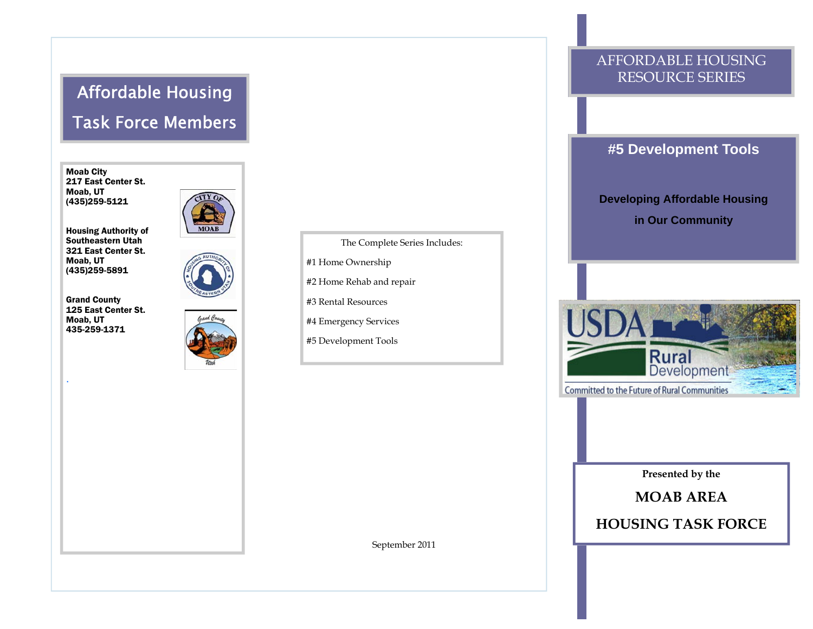# Affordable Housing Task Force Members

Moab City 217 East Center St. Moab, UT (435)259-5121

Housing Authority of Southeastern Utah 321 East Center St. Moab, UT (435)259-5891

Grand County 125 East Center St. Moab, UT 435-259-1371

.





The Complete Series Includes:

#1 Home Ownership

#2 Home Rehab and repair

#3 Rental Resources

#4 Emergency Services

#5 Development Tools

### AFFORDABLE HOUSING RESOURCE SERIES

#### **#5 Development Tools**

**Developing Affordable Housing in Our Community** 



**Presented by the** 

**MOAB AREA** 

**HOUSING TASK FORCE** 

September 2011